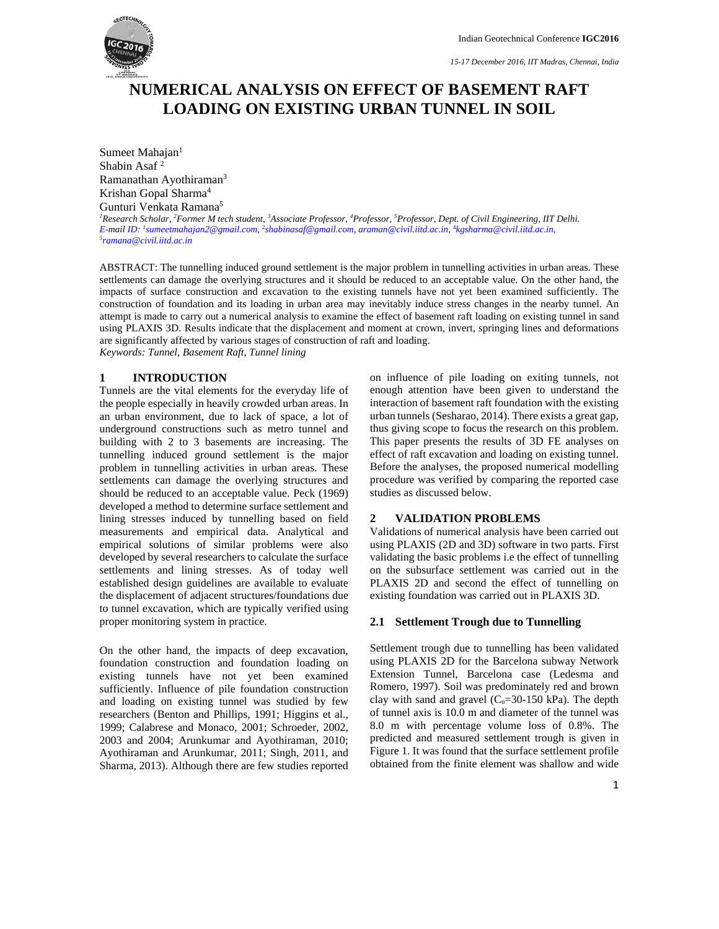

*15-17 December 2016, IIT Madras, Chennai, India*

# **NUMERICAL ANALYSIS ON EFFECT OF BASEMENT RAFT LOADING ON EXISTING URBAN TUNNEL IN SOIL**

Sumeet Mahajan<sup>1</sup> Shabin Asaf 2 Ramanathan Ayothiraman3 Krishan Gopal Sharma4 Gunturi Venkata Ramana5 <sup>1</sup> Research Scholar, <sup>2</sup> Former M tech student, <sup>3</sup> Associate Professor, <sup>4</sup> Professor, <sup>5</sup> Professor, Dept. of Civil Engineering, IIT Delhi. *E-mail ID: <sup>1</sup> sumeetmahajan2@gmail.com*, 2 *shabinasaf@gmail.com*, *araman@civil.iitd.ac.in*, 4 *kgsharma@civil.iitd.ac.in, 5 ramana@civil.iitd.ac.in* 

ABSTRACT: The tunnelling induced ground settlement is the major problem in tunnelling activities in urban areas. These settlements can damage the overlying structures and it should be reduced to an acceptable value. On the other hand, the impacts of surface construction and excavation to the existing tunnels have not yet been examined sufficiently. The construction of foundation and its loading in urban area may inevitably induce stress changes in the nearby tunnel. An attempt is made to carry out a numerical analysis to examine the effect of basement raft loading on existing tunnel in sand using PLAXIS 3D. Results indicate that the displacement and moment at crown, invert, springing lines and deformations are significantly affected by various stages of construction of raft and loading.

*Keywords: Tunnel, Basement Raft, Tunnel lining* 

# **1 INTRODUCTION**

Tunnels are the vital elements for the everyday life of the people especially in heavily crowded urban areas. In an urban environment, due to lack of space, a lot of underground constructions such as metro tunnel and building with 2 to 3 basements are increasing. The tunnelling induced ground settlement is the major problem in tunnelling activities in urban areas. These settlements can damage the overlying structures and should be reduced to an acceptable value. Peck (1969) developed a method to determine surface settlement and lining stresses induced by tunnelling based on field measurements and empirical data. Analytical and empirical solutions of similar problems were also developed by several researchers to calculate the surface settlements and lining stresses. As of today well established design guidelines are available to evaluate the displacement of adjacent structures/foundations due to tunnel excavation, which are typically verified using proper monitoring system in practice.

On the other hand, the impacts of deep excavation, foundation construction and foundation loading on existing tunnels have not yet been examined sufficiently. Influence of pile foundation construction and loading on existing tunnel was studied by few researchers (Benton and Phillips, 1991; Higgins et al., 1999; Calabrese and Monaco, 2001; Schroeder, 2002, 2003 and 2004; Arunkumar and Ayothiraman, 2010; Ayothiraman and Arunkumar, 2011; Singh, 2011, and Sharma, 2013). Although there are few studies reported on influence of pile loading on exiting tunnels, not enough attention have been given to understand the interaction of basement raft foundation with the existing urban tunnels (Sesharao, 2014). There exists a great gap, thus giving scope to focus the research on this problem. This paper presents the results of 3D FE analyses on effect of raft excavation and loading on existing tunnel. Before the analyses, the proposed numerical modelling procedure was verified by comparing the reported case studies as discussed below.

# **2 VALIDATION PROBLEMS**

Validations of numerical analysis have been carried out using PLAXIS (2D and 3D) software in two parts. First validating the basic problems i.e the effect of tunnelling on the subsurface settlement was carried out in the PLAXIS 2D and second the effect of tunnelling on existing foundation was carried out in PLAXIS 3D.

## **2.1 Settlement Trough due to Tunnelling**

Settlement trough due to tunnelling has been validated using PLAXIS 2D for the Barcelona subway Network Extension Tunnel, Barcelona case (Ledesma and Romero, 1997). Soil was predominately red and brown clay with sand and gravel  $(C_u=30-150 \text{ kPa})$ . The depth of tunnel axis is 10.0 m and diameter of the tunnel was 8.0 m with percentage volume loss of 0.8%. The predicted and measured settlement trough is given in Figure 1. It was found that the surface settlement profile obtained from the finite element was shallow and wide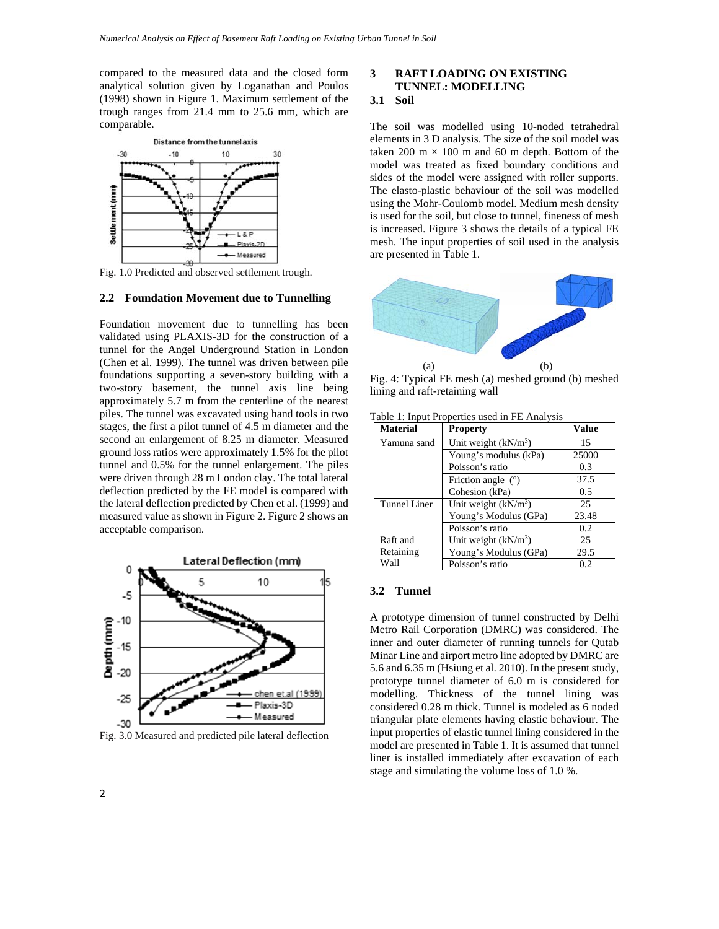compared to the measured data and the closed form analytical solution given by Loganathan and Poulos (1998) shown in Figure 1. Maximum settlement of the trough ranges from 21.4 mm to 25.6 mm, which are comparable.



Fig. 1.0 Predicted and observed settlement trough.

# **2.2 Foundation Movement due to Tunnelling**

Foundation movement due to tunnelling has been validated using PLAXIS-3D for the construction of a tunnel for the Angel Underground Station in London (Chen et al. 1999). The tunnel was driven between pile foundations supporting a seven-story building with a two-story basement, the tunnel axis line being approximately 5.7 m from the centerline of the nearest piles. The tunnel was excavated using hand tools in two stages, the first a pilot tunnel of 4.5 m diameter and the second an enlargement of 8.25 m diameter. Measured ground loss ratios were approximately 1.5% for the pilot tunnel and 0.5% for the tunnel enlargement. The piles were driven through 28 m London clay. The total lateral deflection predicted by the FE model is compared with the lateral deflection predicted by Chen et al. (1999) and measured value as shown in Figure 2. Figure 2 shows an acceptable comparison.



Fig. 3.0 Measured and predicted pile lateral deflection

# **3 RAFT LOADING ON EXISTING TUNNEL: MODELLING**

# **3.1 Soil**

The soil was modelled using 10-noded tetrahedral elements in 3 D analysis. The size of the soil model was taken 200 m  $\times$  100 m and 60 m depth. Bottom of the model was treated as fixed boundary conditions and sides of the model were assigned with roller supports. The elasto-plastic behaviour of the soil was modelled using the Mohr-Coulomb model. Medium mesh density is used for the soil, but close to tunnel, fineness of mesh is increased. Figure 3 shows the details of a typical FE mesh. The input properties of soil used in the analysis are presented in Table 1.



Fig. 4: Typical FE mesh (a) meshed ground (b) meshed lining and raft-retaining wall

| Material     | <b>Property</b>                  | <b>Value</b> |
|--------------|----------------------------------|--------------|
| Yamuna sand  | Unit weight (kN/m <sup>3</sup> ) | 15           |
|              | Young's modulus (kPa)            | 25000        |
|              | Poisson's ratio                  | 0.3          |
|              | Friction angle $(°)$             | 37.5         |
|              | Cohesion (kPa)                   | 0.5          |
| Tunnel Liner | Unit weight $(kN/m^3)$           | 25           |
|              | Young's Modulus (GPa)            | 23.48        |
|              | Poisson's ratio                  | 0.2          |
| Raft and     | Unit weight $(kN/m^3)$           | 25           |
| Retaining    | Young's Modulus (GPa)            | 29.5         |
| Wall         | Poisson's ratio                  | 0.2          |

Table 1: Input Properties used in FE Analysis

#### **3.2 Tunnel**

A prototype dimension of tunnel constructed by Delhi Metro Rail Corporation (DMRC) was considered. The inner and outer diameter of running tunnels for Qutab Minar Line and airport metro line adopted by DMRC are 5.6 and 6.35 m (Hsiung et al. 2010). In the present study, prototype tunnel diameter of 6.0 m is considered for modelling. Thickness of the tunnel lining was considered 0.28 m thick. Tunnel is modeled as 6 noded triangular plate elements having elastic behaviour. The input properties of elastic tunnel lining considered in the model are presented in Table 1. It is assumed that tunnel liner is installed immediately after excavation of each stage and simulating the volume loss of 1.0 %.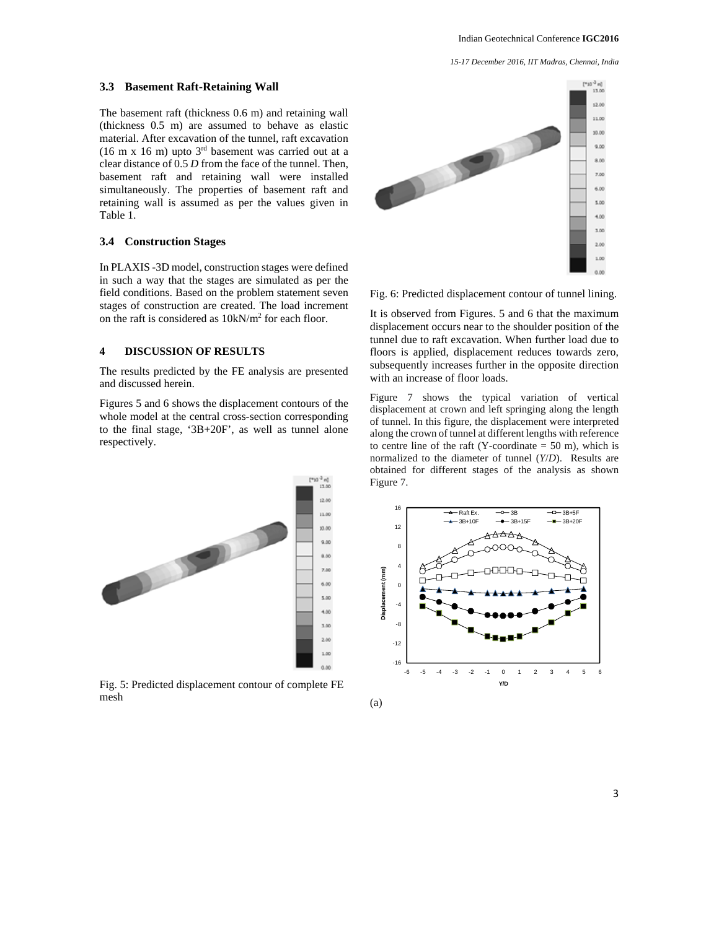*15-17 December 2016, IIT Madras, Chennai, India*

#### **3.3 Basement Raft-Retaining Wall**

The basement raft (thickness 0.6 m) and retaining wall (thickness 0.5 m) are assumed to behave as elastic material. After excavation of the tunnel, raft excavation (16 m x 16 m) upto  $3<sup>rd</sup>$  basement was carried out at a clear distance of 0.5 *D* from the face of the tunnel. Then, basement raft and retaining wall were installed simultaneously. The properties of basement raft and retaining wall is assumed as per the values given in Table 1.

# **3.4 Construction Stages**

In PLAXIS -3D model, construction stages were defined in such a way that the stages are simulated as per the field conditions. Based on the problem statement seven stages of construction are created. The load increment on the raft is considered as  $10kN/m^2$  for each floor.

# **4 DISCUSSION OF RESULTS**

The results predicted by the FE analysis are presented and discussed herein.

Figures 5 and 6 shows the displacement contours of the whole model at the central cross-section corresponding to the final stage, '3B+20F', as well as tunnel alone respectively.



Fig. 5: Predicted displacement contour of complete FE mesh



Fig. 6: Predicted displacement contour of tunnel lining.

It is observed from Figures. 5 and 6 that the maximum displacement occurs near to the shoulder position of the tunnel due to raft excavation. When further load due to floors is applied, displacement reduces towards zero, subsequently increases further in the opposite direction with an increase of floor loads.

Figure 7 shows the typical variation of vertical displacement at crown and left springing along the length of tunnel. In this figure, the displacement were interpreted along the crown of tunnel at different lengths with reference to centre line of the raft (Y-coordinate  $= 50$  m), which is normalized to the diameter of tunnel (*Y*/*D*). Results are obtained for different stages of the analysis as shown Figure 7.



(a)